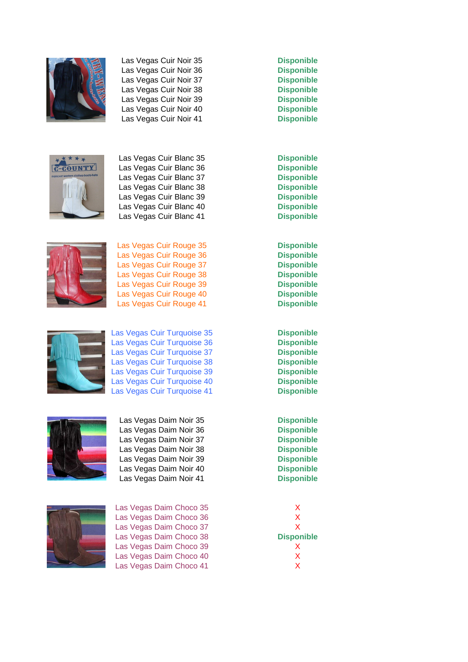

Las Vegas Cuir Noir 35 **Disponible** Las Vegas Cuir Noir 36 **Disponible** Las Vegas Cuir Noir 37 **Disponible** Las Vegas Cuir Noir 38 **Disponible** Las Vegas Cuir Noir 39 **Disponible** Las Vegas Cuir Noir 40 **Disponible** Las Vegas Cuir Noir 41 **Disponible**



Las Vegas Cuir Blanc 35 **Disponible** Las Vegas Cuir Blanc 36 **Disponible** Las Vegas Cuir Blanc 37 **Disponible** Las Vegas Cuir Blanc 38 **Disponible** Las Vegas Cuir Blanc 39 **Disponible** Las Vegas Cuir Blanc 40 **Disponible** Las Vegas Cuir Blanc 41 **Disponible**



Las Vegas Cuir Rouge 35 **Disponible** Las Vegas Cuir Rouge 36 **Disponible** Las Vegas Cuir Rouge 37 **Disponible** Las Vegas Cuir Rouge 38 **Disponible** Las Vegas Cuir Rouge 39 **Disponible** Las Vegas Cuir Rouge 40 **Disponible** Las Vegas Cuir Rouge 41 **Disponible**



Las Vegas Cuir Turquoise 35 **Disponible** Las Vegas Cuir Turquoise 36 **Disponible** Las Vegas Cuir Turquoise 37 **Disponible** Las Vegas Cuir Turquoise 38 **Disponible** Las Vegas Cuir Turquoise 39 **Disponible** Las Vegas Cuir Turquoise 40 **Disponible** Las Vegas Cuir Turquoise 41 **Disponible**



Las Vegas Daim Noir 35 **Disponible** Las Vegas Daim Noir 36 **Disponible** Las Vegas Daim Noir 37 **Disponible** Las Vegas Daim Noir 38 **Disponible** Las Vegas Daim Noir 39 **Disponible** Las Vegas Daim Noir 40 **Disponible** Las Vegas Daim Noir 41 **Disponible**



Las Vegas Daim Choco 35 X Las Vegas Daim Choco 36 X Las Vegas Daim Choco 37 X Las Vegas Daim Choco 38 **Disponible** Las Vegas Daim Choco 39<br>Las Vegas Daim Choco 40 XX Las Vegas Daim Choco 40 Las Vegas Daim Choco 41 X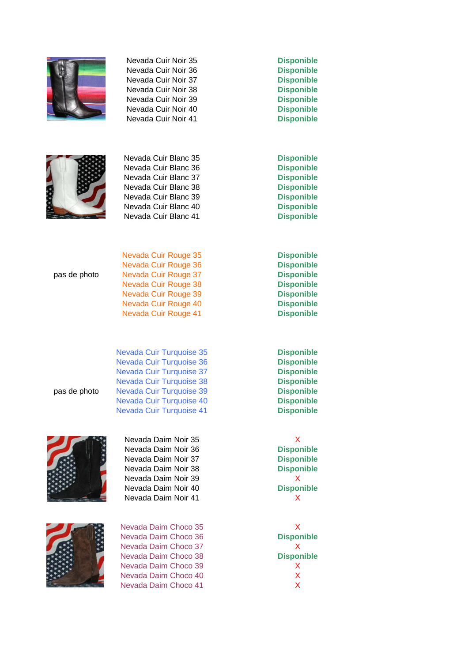

Nevada Cuir Noir 35 **Disponible** Nevada Cuir Noir 36 **Disponible** Nevada Cuir Noir 37 **Disponible** Nevada Cuir Noir 38 **Disponible** Nevada Cuir Noir 39 **Disponible** Nevada Cuir Noir 40 **Disponible** Nevada Cuir Noir 41 **Disponible**



Nevada Cuir Blanc 35 **Disponible** Nevada Cuir Blanc 36 **Disponible** Nevada Cuir Blanc 37 **Disponible** Nevada Cuir Blanc 38 **Disponible** Nevada Cuir Blanc 39 **Disponible** Nevada Cuir Blanc 40 **Disponible** Nevada Cuir Blanc 41 **Disponible**

| <b>Nev</b> |
|------------|
| <b>Nev</b> |
| <b>Nev</b> |





Nevada Daim Noir 35 X Nevada Daim Noir 36 **Disponible** Nevada Daim Noir 37 **Disponible** Nevada Daim Noir 38 **Disponible** Nevada Daim Noir 39 X Nevada Daim Noir 40 **Disponible** Nevada Daim Noir 41 X

Nevada Daim Choco 35 X Nevada Daim Choco 36 **Disponible** Nevada Daim Choco 37 X Nevada Daim Choco 38 **Disponible** Nevada Daim Choco 39 X Nevada Daim Choco 40 X Nevada Daim Choco 41 X

Nevada Cuir Rouge 35 **Disponible** Nevada Cuir Rouge 36 **Disponible** pas de photo Nevada Cuir Rouge 37 **Disponible** Nevada Cuir Rouge 38 **Disponible** Nevada Cuir Rouge 39 **Disponible** Nevada Cuir Rouge 40 **Disponible** Nevada Cuir Rouge 41 **Disponible**

**Nevada Cuir Turquoise 35 Disponible Access 26 Disponible Accessition Culture 37 Disponible** Nevada Cuir Turquoise 38 **Disponible** pas de photo Nevada Cuir Turquoise 39 **Disponible** Nevada Cuir Turquoise 40 **Disponible** Nevada Cuir Turquoise 41 **Disponible**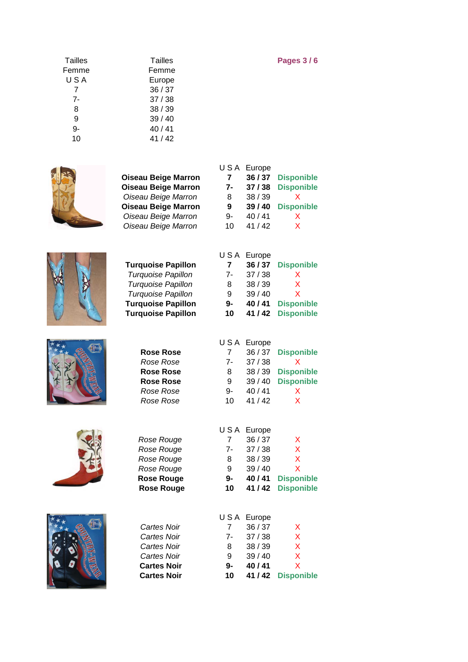| <b>Tailles</b> | Tailles | <b>Pages 3/6</b> |
|----------------|---------|------------------|
| Femme          | Femme   |                  |
| USA            | Europe  |                  |
| 7              | 36/37   |                  |
| 7-             | 37/38   |                  |
| 8              | 38/39   |                  |
| 9              | 39/40   |                  |
| 9-             | 40/41   |                  |
| 10             | 41/42   |                  |



| <b>Oiseau Beige Marron</b>             | 7-             | 37/38              | <b>Disponible</b>                      |
|----------------------------------------|----------------|--------------------|----------------------------------------|
| Oiseau Beige Marron                    | 8              | 38 / 39            | х                                      |
| <b>Oiseau Beige Marron</b>             | 9              | 39/40              | <b>Disponible</b>                      |
| Oiseau Beige Marron                    | 9-             | 40/41              | X                                      |
| Oiseau Beige Marron                    | 10             | 41 / 42            | x                                      |
|                                        |                |                    |                                        |
|                                        | USA            | Europe             |                                        |
| <b>Turquoise Papillon</b>              | $\overline{7}$ | 36/37              | <b>Disponible</b>                      |
| Turquoise Papillon                     | $7-$           | 37/38              | Χ                                      |
| Turquoise Papillon                     | 8              | 38 / 39            | X                                      |
| Turquoise Papillon                     | 9              | 39 / 40            | x                                      |
| <b>Turquoise Papillon</b>              | $9-$           | 40 / 41            | <b>Disponible</b>                      |
| <b>Turquoise Papillon</b>              | 10             | 41 / 42            | <b>Disponible</b>                      |
|                                        |                |                    |                                        |
|                                        | USA            | Europe             |                                        |
| <b>Rose Rose</b>                       | 7              | 36 / 37            | <b>Disponible</b>                      |
| Rose Rose                              | 7-             | 37/38              | Χ                                      |
| <b>Rose Rose</b>                       | 8              | 38 / 39            | <b>Disponible</b>                      |
| <b>Rose Rose</b>                       | 9              | 39 / 40            | <b>Disponible</b>                      |
| Rose Rose                              | 9-             | 40 / 41            | X                                      |
| Rose Rose                              | 10             | 41 / 42            | X                                      |
|                                        |                |                    |                                        |
|                                        | USA            | Europe             |                                        |
| Rose Rouge                             | 7<br>$7-$      | 36 / 37<br>37/38   | Χ<br>X                                 |
| Rose Rouge                             |                | 38 / 39            | X                                      |
| Rose Rouge                             | 8<br>9         |                    | X                                      |
| Rose Rouge                             | $9-$           | 39 / 40<br>40 / 41 |                                        |
| <b>Rose Rouge</b><br><b>Rose Rouge</b> | 10             | 41 / 42            | <b>Disponible</b><br><b>Disponible</b> |
|                                        |                |                    |                                        |
|                                        | USA            | Europe             |                                        |
| Cartes Noir                            | $\overline{7}$ | 36/37              | X                                      |
| Cartes Noir                            | $7-$           | 37/38              | X                                      |
| Cartes Noir                            | 8              | 38 / 39            | X                                      |
| Cartes Noir                            | 9              | 39 / 40            | X                                      |
| <b>Cartes Noir</b>                     | 9-             | 40 / 41            | X                                      |
|                                        |                |                    |                                        |









| 7- | 37 / 38 | D |
|----|---------|---|
| 8  | 38 / 39 |   |
| 9  | 39/40   | D |
| 9- | 40/41   |   |
| 10 | 41 / 42 |   |

U S A Europe

**Oiseau Beige Marron 7 36 / 37 Disponible**

|    | USA Europe |                   |
|----|------------|-------------------|
| 7  | 36/37      | <b>Disponible</b> |
| 7- | 37/38      | x                 |
| 8  | 38/39      | X                 |
| 9  | 39/40      | x                 |
| 9- | 40 / 41    | <b>Disponible</b> |
| 10 | 41 / 42    | <b>Disponible</b> |
|    |            |                   |

|    | USA Europe |                   |
|----|------------|-------------------|
| 7  | 36/37      | <b>Disponible</b> |
| 7- | 37/38      | x                 |
| 8  | 38/39      | <b>Disponible</b> |
| 9  | 39/40      | <b>Disponible</b> |
| 9- | 40/41      | X                 |
| 10 | 41/42      | x                 |
|    |            |                   |

| <b>Cartes Noir</b> | 10   |            | 41/42 Disponible |
|--------------------|------|------------|------------------|
| <b>Cartes Noir</b> | 9-   | 40/41      | X                |
| Cartes Noir        | 9    | 39/40      | $\mathsf{X}$     |
| Cartes Noir        | 8    | 38/39      | X                |
| Cartes Noir        | $7-$ | 37/38      | X                |
| Cartes Noir        |      | 36/37      | X                |
|                    |      | USA Europe |                  |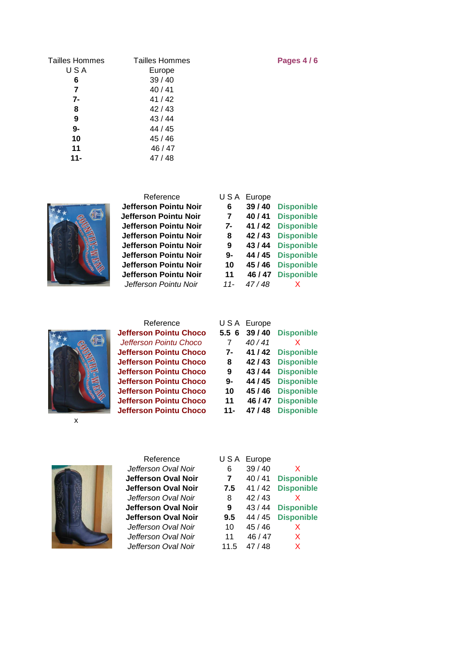| <b>Tailles Hommes</b> | <b>Tailles Hommes</b> | Pages 4/6 |
|-----------------------|-----------------------|-----------|
| USA                   | Europe                |           |
| 6                     | 39/40                 |           |
| 7                     | 40/41                 |           |
| 7-                    | 41 / 42               |           |
| 8                     | 42/43                 |           |
| 9                     | 43 / 44               |           |
| 9-                    | 44 / 45               |           |
| 10                    | 45 / 46               |           |
| 11                    | 46 / 47               |           |
| $11 -$                | 47/48                 |           |



| Reference             | USA   | Europe  |                   |
|-----------------------|-------|---------|-------------------|
| Jefferson Pointu Noir | 6     | 39/40   | <b>Disponible</b> |
| Jefferson Pointu Noir | 7     | 40/41   | <b>Disponible</b> |
| Jefferson Pointu Noir | $7-$  | 41 / 42 | <b>Disponible</b> |
| Jefferson Pointu Noir | 8     | 42/43   | <b>Disponible</b> |
| Jefferson Pointu Noir | 9     | 43 / 44 | <b>Disponible</b> |
| Jefferson Pointu Noir | 9-    | 44 / 45 | <b>Disponible</b> |
| Jefferson Pointu Noir | 10    | 45 / 46 | <b>Disponible</b> |
| Jefferson Pointu Noir | 11    | 46 / 47 | <b>Disponible</b> |
| Jefferson Pointu Noir | $11-$ | 47/48   |                   |
|                       |       |         |                   |



| Reference                     |        | USA Europe |              |
|-------------------------------|--------|------------|--------------|
| <b>Jefferson Pointu Choco</b> | 5.56   | 39/40      | <b>Dispo</b> |
| Jefferson Pointu Choco        | 7      | 40/41      | X            |
| <b>Jefferson Pointu Choco</b> | $7-$   | 41 / 42    | <b>Dispo</b> |
| <b>Jefferson Pointu Choco</b> | 8      | 42/43      | <b>Dispo</b> |
| <b>Jefferson Pointu Choco</b> | 9      | 43 / 44    | <b>Dispo</b> |
| <b>Jefferson Pointu Choco</b> | 9-     | 44 / 45    | <b>Dispo</b> |
| <b>Jefferson Pointu Choco</b> | 10     | 45 / 46    | <b>Dispo</b> |
| <b>Jefferson Pointu Choco</b> | 11     | 46 / 47    | <b>Dispo</b> |
| <b>Jefferson Pointu Choco</b> | $11 -$ | 47 / 48    | <b>Dispo</b> |
|                               |        |            |              |

| Reference                     |        | USA Europe |                   |
|-------------------------------|--------|------------|-------------------|
| <b>Jefferson Pointu Choco</b> | 5.56   | 39/40      | <b>Disponible</b> |
| Jefferson Pointu Choco        |        | 40/41      | x                 |
| <b>Jefferson Pointu Choco</b> | 7-     | 41 / 42    | <b>Disponible</b> |
| <b>Jefferson Pointu Choco</b> | 8      | 42/43      | <b>Disponible</b> |
| <b>Jefferson Pointu Choco</b> | 9      | 43 / 44    | <b>Disponible</b> |
| <b>Jefferson Pointu Choco</b> | 9-     | 44 / 45    | <b>Disponible</b> |
| <b>Jefferson Pointu Choco</b> | 10     | 45 / 46    | <b>Disponible</b> |
| <b>Jefferson Pointu Choco</b> | 11     | 46 / 47    | <b>Disponible</b> |
| <b>Jefferson Pointu Choco</b> | $11 -$ | 47/48      | <b>Disponible</b> |

x



Reference L Jefferson Oval Noir **Jefferson Oval Noir Jefferson Oval Noir** Jefferson Oval Noir **Jefferson Oval Noir Jefferson Oval Noir** Jefferson Oval Noir Jefferson Oval Noir Jefferson Oval Noir 11.5 47 / 48 X

| J S A          | Europe  |                   |
|----------------|---------|-------------------|
| 6              | 39 / 40 | x                 |
| $\overline{7}$ | 40/41   | <b>Disponible</b> |
| 7.5            | 41 / 42 | <b>Disponible</b> |
| 8              | 42/43   | x                 |
| 9              | 43/44   | <b>Disponible</b> |
| 9.5            | 44 / 45 | <b>Disponible</b> |
| 10             | 45/46   | x                 |
| 11             | 46 / 47 | x                 |
| 11 K           | 17/18   | Y                 |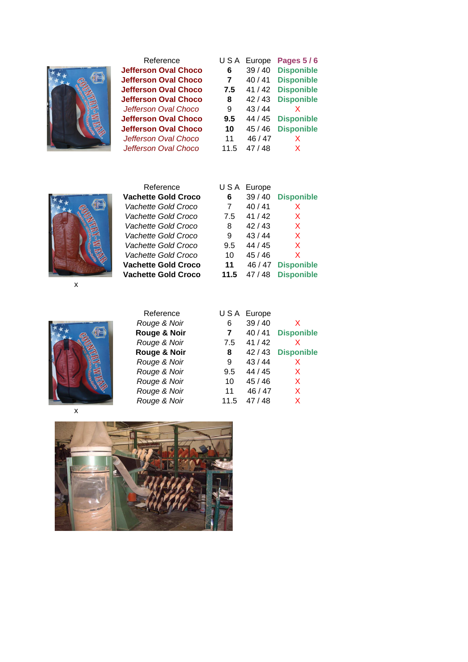

Reference L **Jefferson Oval Choco Jefferson Oval Choco Jefferson Oval Choco Jefferson Oval Choco** Jefferson Oval Choco **Jefferson Oval Choco Jefferson Oval Choco** Jefferson Oval Choco Jefferson Oval Choco

| USA  | Europe  | <b>Pages 5/6</b>  |  |  |
|------|---------|-------------------|--|--|
| 6    | 39 / 40 | <b>Disponible</b> |  |  |
| 7    | 40/41   | <b>Disponible</b> |  |  |
| 7.5  | 41/42   | <b>Disponible</b> |  |  |
| 8    | 42/43   | <b>Disponible</b> |  |  |
| 9    | 43/44   | x                 |  |  |
| 9.5  | 44 / 45 | <b>Disponible</b> |  |  |
| 10   | 45 / 46 | <b>Disponible</b> |  |  |
| 11   | 46 / 47 | х                 |  |  |
| 11.5 | 47 / 48 | х                 |  |  |



x



| Vachette Gold Croco        | 6    | 39/40   | <b>Disponible</b> |
|----------------------------|------|---------|-------------------|
| Vachette Gold Croco        | 7    | 40/41   | x                 |
| Vachette Gold Croco        | 7.5  | 41/42   | x                 |
| Vachette Gold Croco        | 8    | 42/43   | X                 |
| Vachette Gold Croco        | 9    | 43/44   | X                 |
| Vachette Gold Croco        | 9.5  | 44 / 45 | X                 |
| Vachette Gold Croco        | 10   | 45/46   | X                 |
| <b>Vachette Gold Croco</b> | 11   | 46 / 47 | <b>Disponible</b> |
| <b>Vachette Gold Croco</b> | 11.5 | 47/48   | <b>Disponible</b> |
|                            |      |         |                   |
|                            |      |         |                   |
|                            |      |         |                   |

Reference USA Europe

| 6    | 39/40   | X                 |
|------|---------|-------------------|
| 7    | 40/41   | <b>Disponible</b> |
| 7.5  | 41/42   | x                 |
| 8    | 42/43   | <b>Disponible</b> |
| 9    | 43/44   | x                 |
| 9.5  | 44 / 45 | X                 |
| 10   | 45/46   | X                 |
| 11   | 46 / 47 | X                 |
| 11.5 | 47/48   | X                 |
|      |         | USA Europe        |